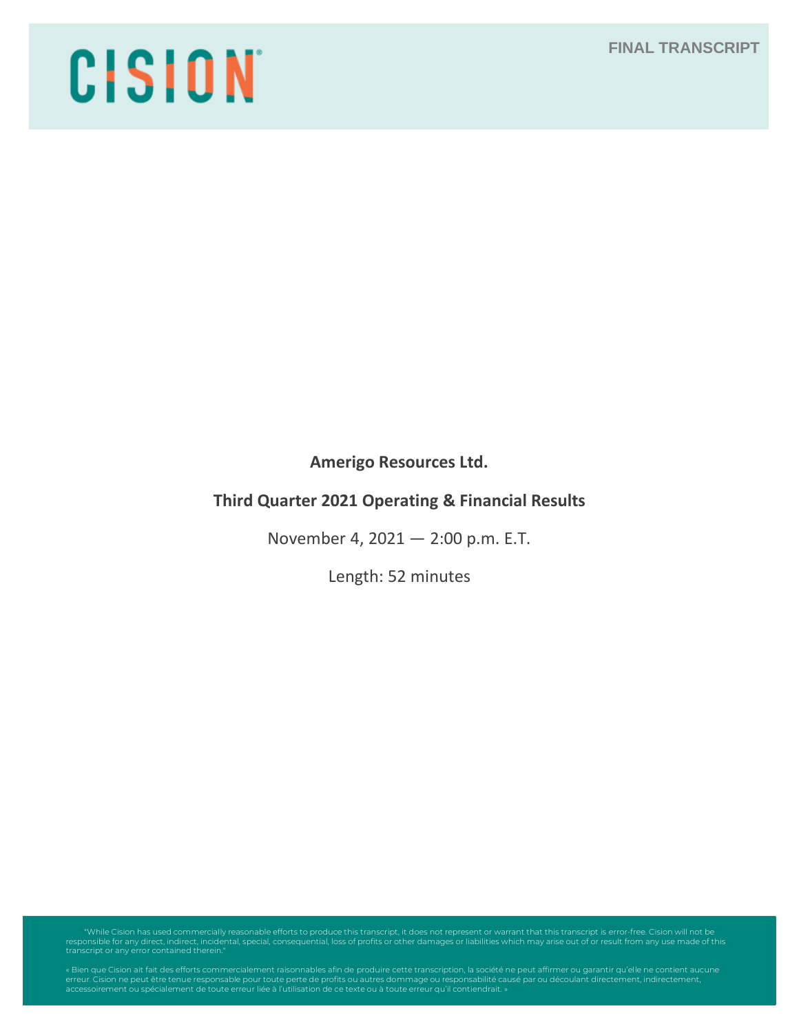**FINAL TRANSCRIPT**

# CISION

**Amerigo Resources Ltd.**

# **Third Quarter 2021 Operating & Financial Results**

November 4, 2021 — 2:00 p.m. E.T.

Length: 52 minutes

"While Cision has used commercially reasonable efforts to produce this transcript, it does not represent or warrant that this transcript is error-free. Cision will not be<br>responsible for any direct, indirect, incidental, s

« Bien que Cision ait fait des efforts commercialement raisonnables afin de produire cette transcription, la société ne peut affirmer ou garantir qu'elle ne contient aucune<br>erreur. Cision ne peut être terme responsable pou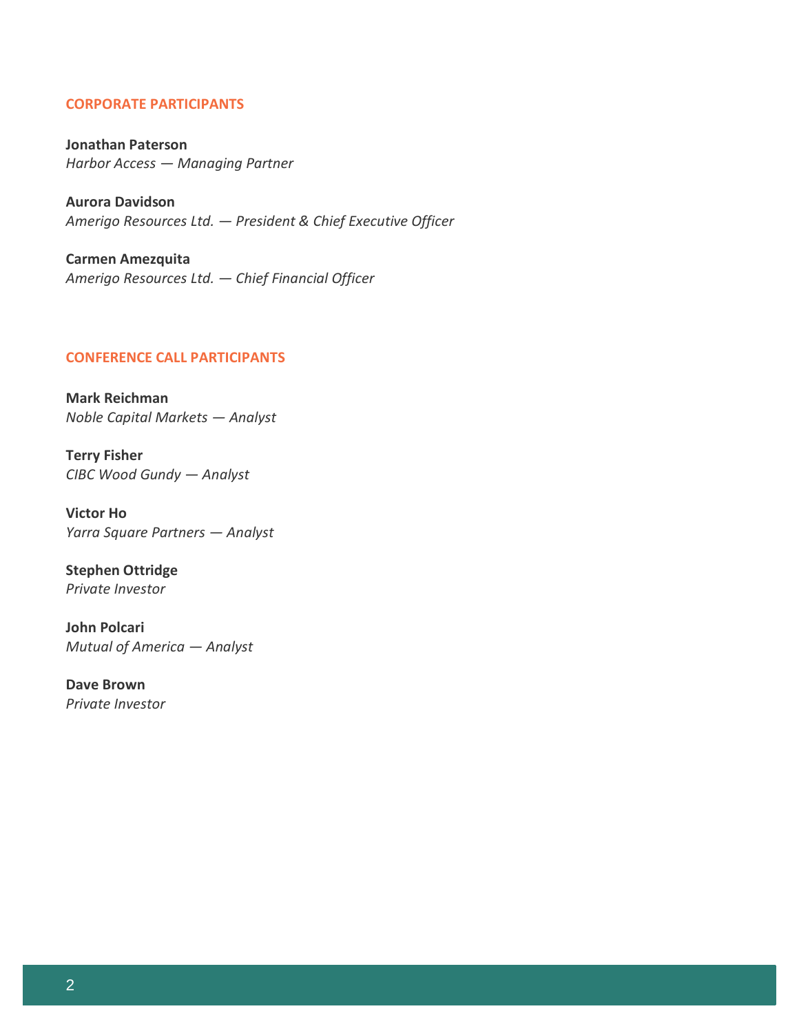### **CORPORATE PARTICIPANTS**

**Jonathan Paterson**  *Harbor Access — Managing Partner*

**Aurora Davidson** *Amerigo Resources Ltd. — President & Chief Executive Officer*

**Carmen Amezquita** *Amerigo Resources Ltd. — Chief Financial Officer*

#### **CONFERENCE CALL PARTICIPANTS**

**Mark Reichman** *Noble Capital Markets — Analyst*

**Terry Fisher** *CIBC Wood Gundy — Analyst*

**Victor Ho** *Yarra Square Partners — Analyst*

**Stephen Ottridge** *Private Investor*

**John Polcari** *Mutual of America — Analyst*

**Dave Brown** *Private Investor*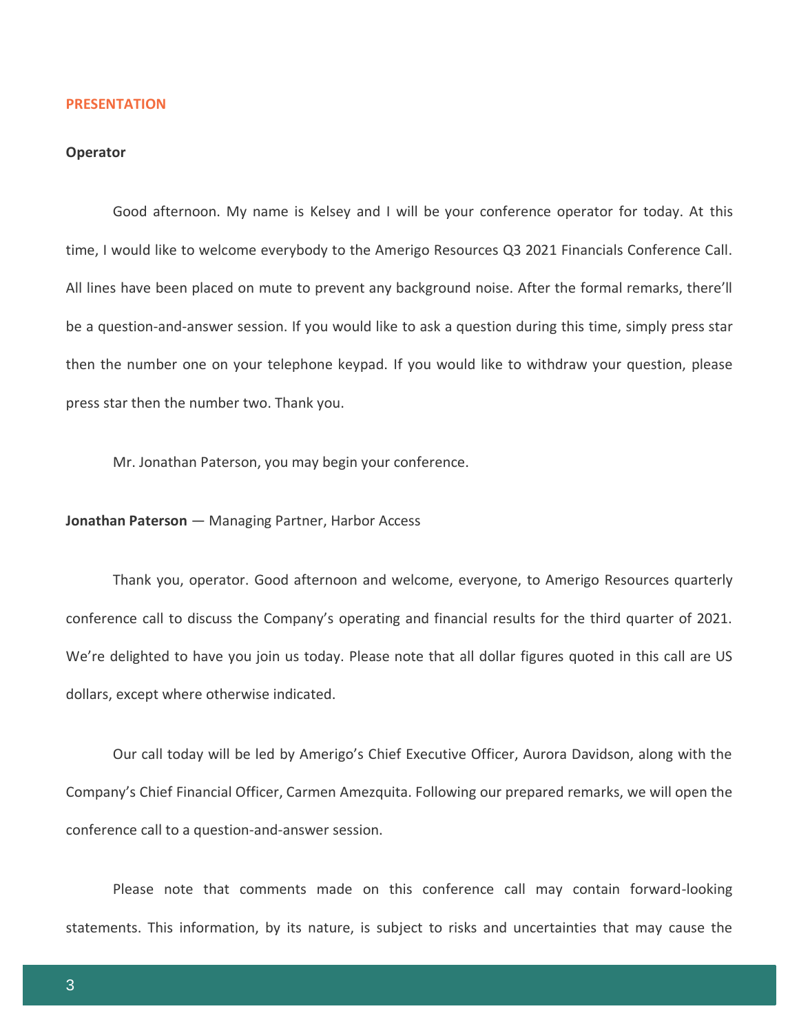#### **PRESENTATION**

### **Operator**

Good afternoon. My name is Kelsey and I will be your conference operator for today. At this time, I would like to welcome everybody to the Amerigo Resources Q3 2021 Financials Conference Call. All lines have been placed on mute to prevent any background noise. After the formal remarks, there'll be a question-and-answer session. If you would like to ask a question during this time, simply press star then the number one on your telephone keypad. If you would like to withdraw your question, please press star then the number two. Thank you.

Mr. Jonathan Paterson, you may begin your conference.

**Jonathan Paterson** — Managing Partner, Harbor Access

Thank you, operator. Good afternoon and welcome, everyone, to Amerigo Resources quarterly conference call to discuss the Company's operating and financial results for the third quarter of 2021. We're delighted to have you join us today. Please note that all dollar figures quoted in this call are US dollars, except where otherwise indicated.

Our call today will be led by Amerigo's Chief Executive Officer, Aurora Davidson, along with the Company's Chief Financial Officer, Carmen Amezquita. Following our prepared remarks, we will open the conference call to a question-and-answer session.

Please note that comments made on this conference call may contain forward-looking statements. This information, by its nature, is subject to risks and uncertainties that may cause the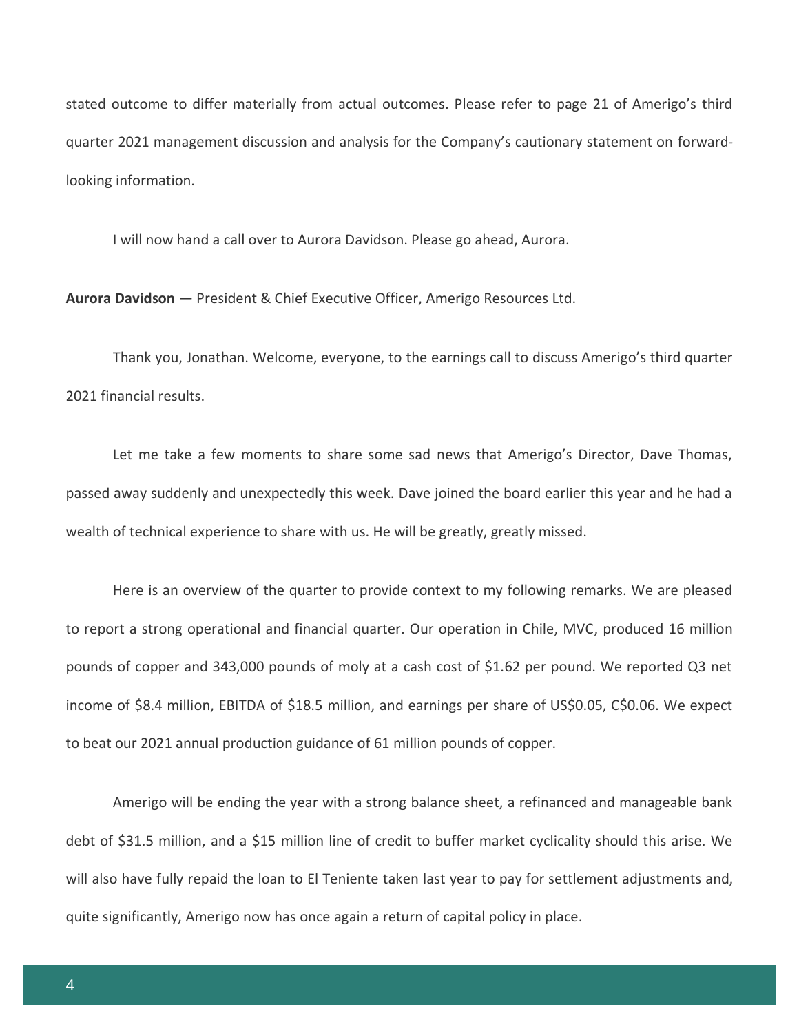stated outcome to differ materially from actual outcomes. Please refer to page 21 of Amerigo's third quarter 2021 management discussion and analysis for the Company's cautionary statement on forwardlooking information.

I will now hand a call over to Aurora Davidson. Please go ahead, Aurora.

**Aurora Davidson** — President & Chief Executive Officer, Amerigo Resources Ltd.

Thank you, Jonathan. Welcome, everyone, to the earnings call to discuss Amerigo's third quarter 2021 financial results.

Let me take a few moments to share some sad news that Amerigo's Director, Dave Thomas, passed away suddenly and unexpectedly this week. Dave joined the board earlier this year and he had a wealth of technical experience to share with us. He will be greatly, greatly missed.

Here is an overview of the quarter to provide context to my following remarks. We are pleased to report a strong operational and financial quarter. Our operation in Chile, MVC, produced 16 million pounds of copper and 343,000 pounds of moly at a cash cost of \$1.62 per pound. We reported Q3 net income of \$8.4 million, EBITDA of \$18.5 million, and earnings per share of US\$0.05, C\$0.06. We expect to beat our 2021 annual production guidance of 61 million pounds of copper.

Amerigo will be ending the year with a strong balance sheet, a refinanced and manageable bank debt of \$31.5 million, and a \$15 million line of credit to buffer market cyclicality should this arise. We will also have fully repaid the loan to El Teniente taken last year to pay for settlement adjustments and, quite significantly, Amerigo now has once again a return of capital policy in place.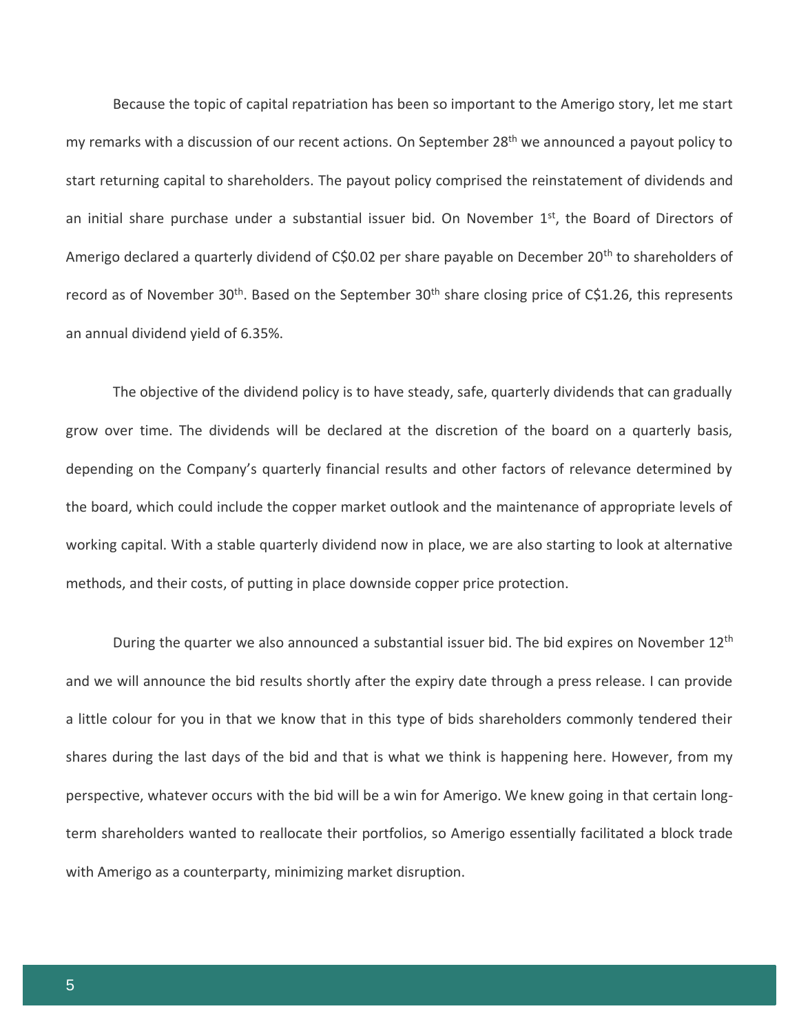Because the topic of capital repatriation has been so important to the Amerigo story, let me start my remarks with a discussion of our recent actions. On September 28<sup>th</sup> we announced a payout policy to start returning capital to shareholders. The payout policy comprised the reinstatement of dividends and an initial share purchase under a substantial issuer bid. On November 1<sup>st</sup>, the Board of Directors of Amerigo declared a quarterly dividend of C\$0.02 per share payable on December 20<sup>th</sup> to shareholders of record as of November 30<sup>th</sup>. Based on the September 30<sup>th</sup> share closing price of C\$1.26, this represents an annual dividend yield of 6.35%.

The objective of the dividend policy is to have steady, safe, quarterly dividends that can gradually grow over time. The dividends will be declared at the discretion of the board on a quarterly basis, depending on the Company's quarterly financial results and other factors of relevance determined by the board, which could include the copper market outlook and the maintenance of appropriate levels of working capital. With a stable quarterly dividend now in place, we are also starting to look at alternative methods, and their costs, of putting in place downside copper price protection.

During the quarter we also announced a substantial issuer bid. The bid expires on November 12<sup>th</sup> and we will announce the bid results shortly after the expiry date through a press release. I can provide a little colour for you in that we know that in this type of bids shareholders commonly tendered their shares during the last days of the bid and that is what we think is happening here. However, from my perspective, whatever occurs with the bid will be a win for Amerigo. We knew going in that certain longterm shareholders wanted to reallocate their portfolios, so Amerigo essentially facilitated a block trade with Amerigo as a counterparty, minimizing market disruption.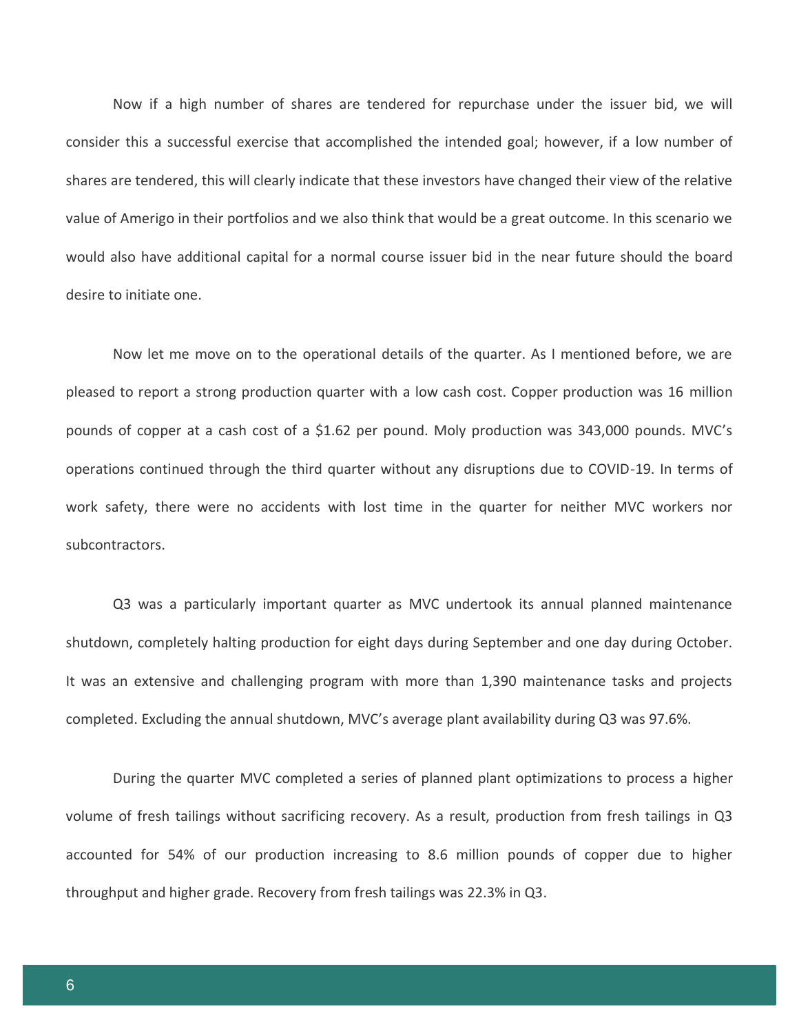Now if a high number of shares are tendered for repurchase under the issuer bid, we will consider this a successful exercise that accomplished the intended goal; however, if a low number of shares are tendered, this will clearly indicate that these investors have changed their view of the relative value of Amerigo in their portfolios and we also think that would be a great outcome. In this scenario we would also have additional capital for a normal course issuer bid in the near future should the board desire to initiate one.

Now let me move on to the operational details of the quarter. As I mentioned before, we are pleased to report a strong production quarter with a low cash cost. Copper production was 16 million pounds of copper at a cash cost of a \$1.62 per pound. Moly production was 343,000 pounds. MVC's operations continued through the third quarter without any disruptions due to COVID-19. In terms of work safety, there were no accidents with lost time in the quarter for neither MVC workers nor subcontractors.

Q3 was a particularly important quarter as MVC undertook its annual planned maintenance shutdown, completely halting production for eight days during September and one day during October. It was an extensive and challenging program with more than 1,390 maintenance tasks and projects completed. Excluding the annual shutdown, MVC's average plant availability during Q3 was 97.6%.

During the quarter MVC completed a series of planned plant optimizations to process a higher volume of fresh tailings without sacrificing recovery. As a result, production from fresh tailings in Q3 accounted for 54% of our production increasing to 8.6 million pounds of copper due to higher throughput and higher grade. Recovery from fresh tailings was 22.3% in Q3.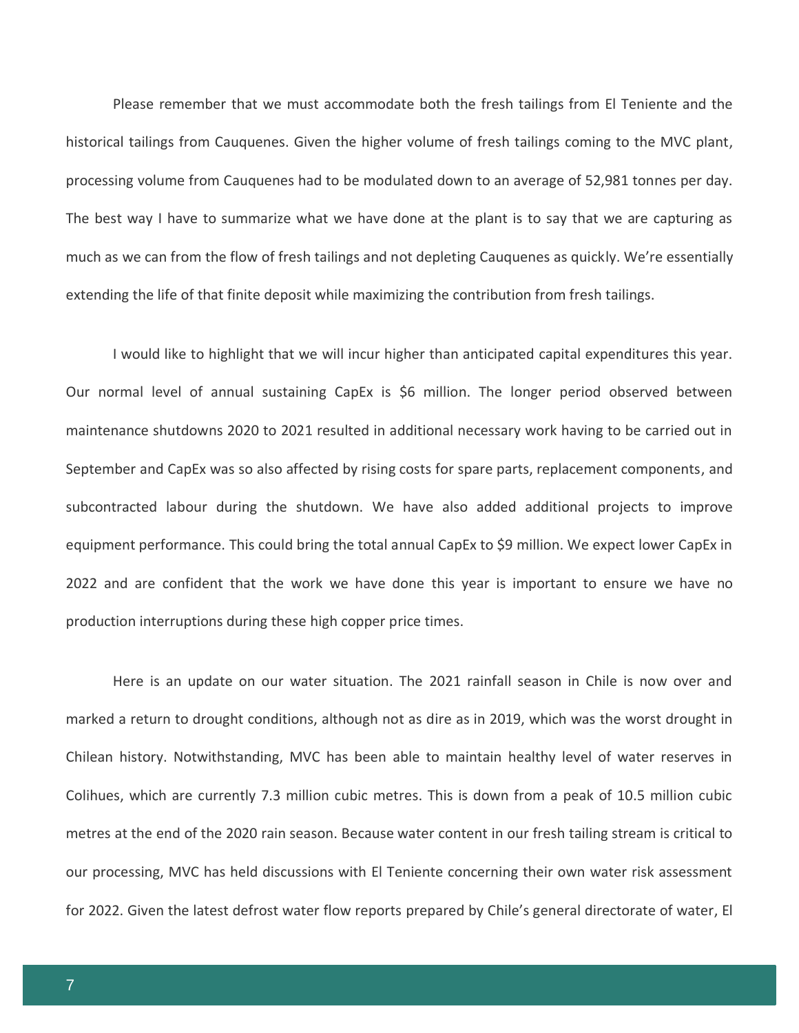Please remember that we must accommodate both the fresh tailings from El Teniente and the historical tailings from Cauquenes. Given the higher volume of fresh tailings coming to the MVC plant, processing volume from Cauquenes had to be modulated down to an average of 52,981 tonnes per day. The best way I have to summarize what we have done at the plant is to say that we are capturing as much as we can from the flow of fresh tailings and not depleting Cauquenes as quickly. We're essentially extending the life of that finite deposit while maximizing the contribution from fresh tailings.

I would like to highlight that we will incur higher than anticipated capital expenditures this year. Our normal level of annual sustaining CapEx is \$6 million. The longer period observed between maintenance shutdowns 2020 to 2021 resulted in additional necessary work having to be carried out in September and CapEx was so also affected by rising costs for spare parts, replacement components, and subcontracted labour during the shutdown. We have also added additional projects to improve equipment performance. This could bring the total annual CapEx to \$9 million. We expect lower CapEx in 2022 and are confident that the work we have done this year is important to ensure we have no production interruptions during these high copper price times.

Here is an update on our water situation. The 2021 rainfall season in Chile is now over and marked a return to drought conditions, although not as dire as in 2019, which was the worst drought in Chilean history. Notwithstanding, MVC has been able to maintain healthy level of water reserves in Colihues, which are currently 7.3 million cubic metres. This is down from a peak of 10.5 million cubic metres at the end of the 2020 rain season. Because water content in our fresh tailing stream is critical to our processing, MVC has held discussions with El Teniente concerning their own water risk assessment for 2022. Given the latest defrost water flow reports prepared by Chile's general directorate of water, El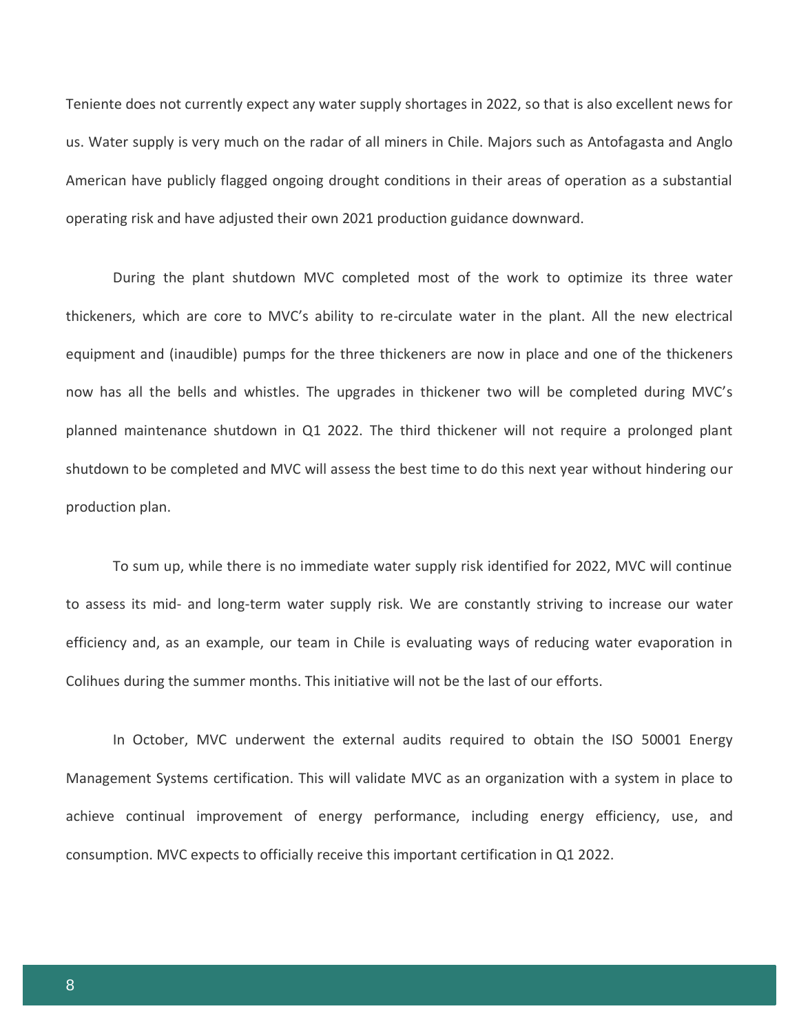Teniente does not currently expect any water supply shortages in 2022, so that is also excellent news for us. Water supply is very much on the radar of all miners in Chile. Majors such as Antofagasta and Anglo American have publicly flagged ongoing drought conditions in their areas of operation as a substantial operating risk and have adjusted their own 2021 production guidance downward.

During the plant shutdown MVC completed most of the work to optimize its three water thickeners, which are core to MVC's ability to re-circulate water in the plant. All the new electrical equipment and (inaudible) pumps for the three thickeners are now in place and one of the thickeners now has all the bells and whistles. The upgrades in thickener two will be completed during MVC's planned maintenance shutdown in Q1 2022. The third thickener will not require a prolonged plant shutdown to be completed and MVC will assess the best time to do this next year without hindering our production plan.

To sum up, while there is no immediate water supply risk identified for 2022, MVC will continue to assess its mid- and long-term water supply risk. We are constantly striving to increase our water efficiency and, as an example, our team in Chile is evaluating ways of reducing water evaporation in Colihues during the summer months. This initiative will not be the last of our efforts.

In October, MVC underwent the external audits required to obtain the ISO 50001 Energy Management Systems certification. This will validate MVC as an organization with a system in place to achieve continual improvement of energy performance, including energy efficiency, use, and consumption. MVC expects to officially receive this important certification in Q1 2022.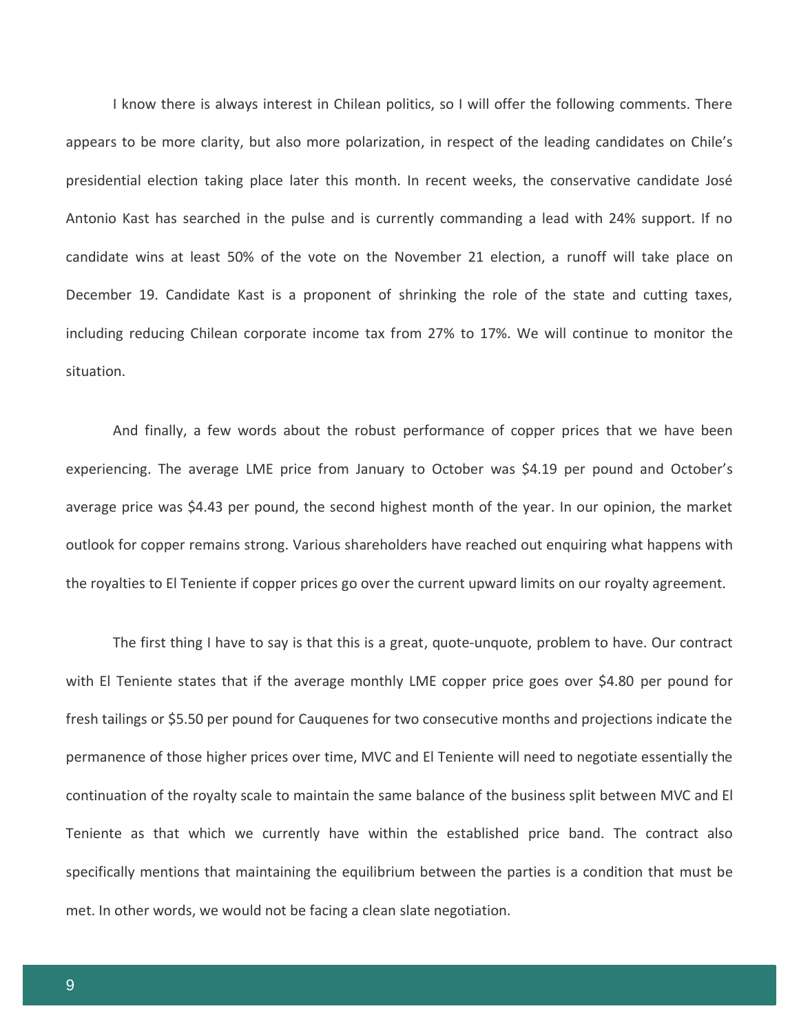I know there is always interest in Chilean politics, so I will offer the following comments. There appears to be more clarity, but also more polarization, in respect of the leading candidates on Chile's presidential election taking place later this month. In recent weeks, the conservative candidate José Antonio Kast has searched in the pulse and is currently commanding a lead with 24% support. If no candidate wins at least 50% of the vote on the November 21 election, a runoff will take place on December 19. Candidate Kast is a proponent of shrinking the role of the state and cutting taxes, including reducing Chilean corporate income tax from 27% to 17%. We will continue to monitor the situation.

And finally, a few words about the robust performance of copper prices that we have been experiencing. The average LME price from January to October was \$4.19 per pound and October's average price was \$4.43 per pound, the second highest month of the year. In our opinion, the market outlook for copper remains strong. Various shareholders have reached out enquiring what happens with the royalties to El Teniente if copper prices go over the current upward limits on our royalty agreement.

The first thing I have to say is that this is a great, quote-unquote, problem to have. Our contract with El Teniente states that if the average monthly LME copper price goes over \$4.80 per pound for fresh tailings or \$5.50 per pound for Cauquenes for two consecutive months and projections indicate the permanence of those higher prices over time, MVC and El Teniente will need to negotiate essentially the continuation of the royalty scale to maintain the same balance of the business split between MVC and El Teniente as that which we currently have within the established price band. The contract also specifically mentions that maintaining the equilibrium between the parties is a condition that must be met. In other words, we would not be facing a clean slate negotiation.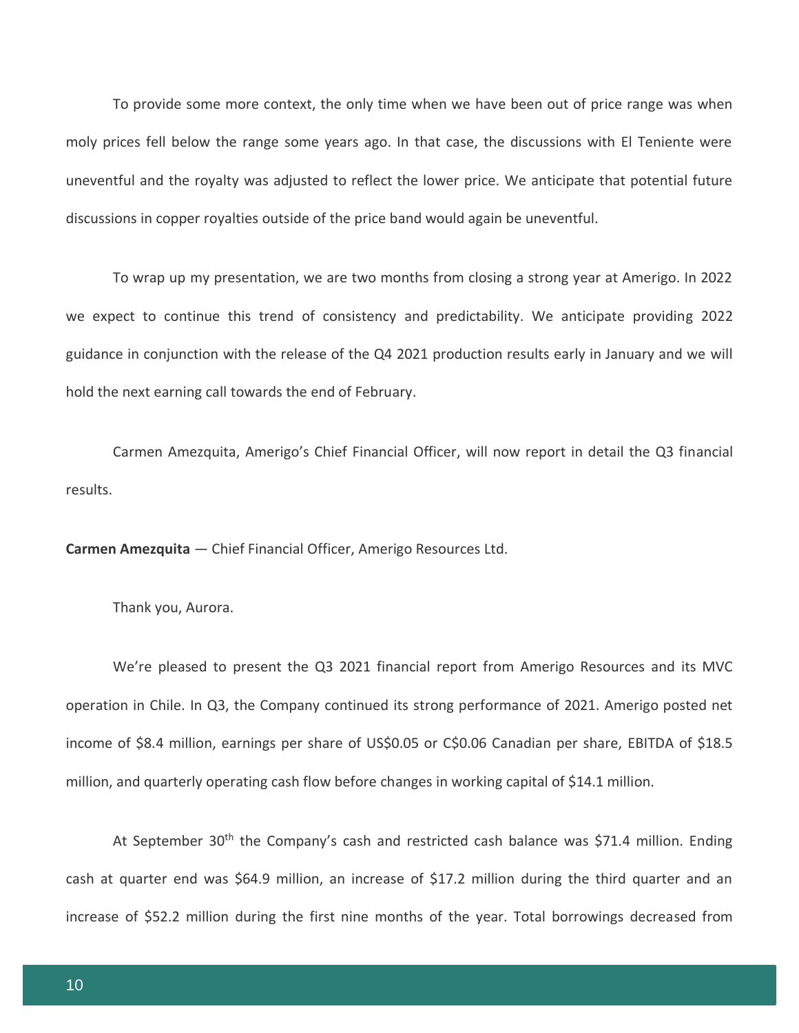To provide some more context, the only time when we have been out of price range was when moly prices fell below the range some years ago. In that case, the discussions with El Teniente were uneventful and the royalty was adjusted to reflect the lower price. We anticipate that potential future discussions in copper royalties outside of the price band would again be uneventful.

To wrap up my presentation, we are two months from closing a strong year at Amerigo. In 2022 we expect to continue this trend of consistency and predictability. We anticipate providing 2022 guidance in conjunction with the release of the Q4 2021 production results early in January and we will hold the next earning call towards the end of February.

Carmen Amezquita, Amerigo's Chief Financial Officer, will now report in detail the Q3 financial results.

**Carmen Amezquita** — Chief Financial Officer, Amerigo Resources Ltd.

Thank you, Aurora.

We're pleased to present the Q3 2021 financial report from Amerigo Resources and its MVC operation in Chile. In Q3, the Company continued its strong performance of 2021. Amerigo posted net income of \$8.4 million, earnings per share of US\$0.05 or C\$0.06 Canadian per share, EBITDA of \$18.5 million, and quarterly operating cash flow before changes in working capital of \$14.1 million.

At September 30<sup>th</sup> the Company's cash and restricted cash balance was \$71.4 million. Ending cash at quarter end was \$64.9 million, an increase of \$17.2 million during the third quarter and an increase of \$52.2 million during the first nine months of the year. Total borrowings decreased from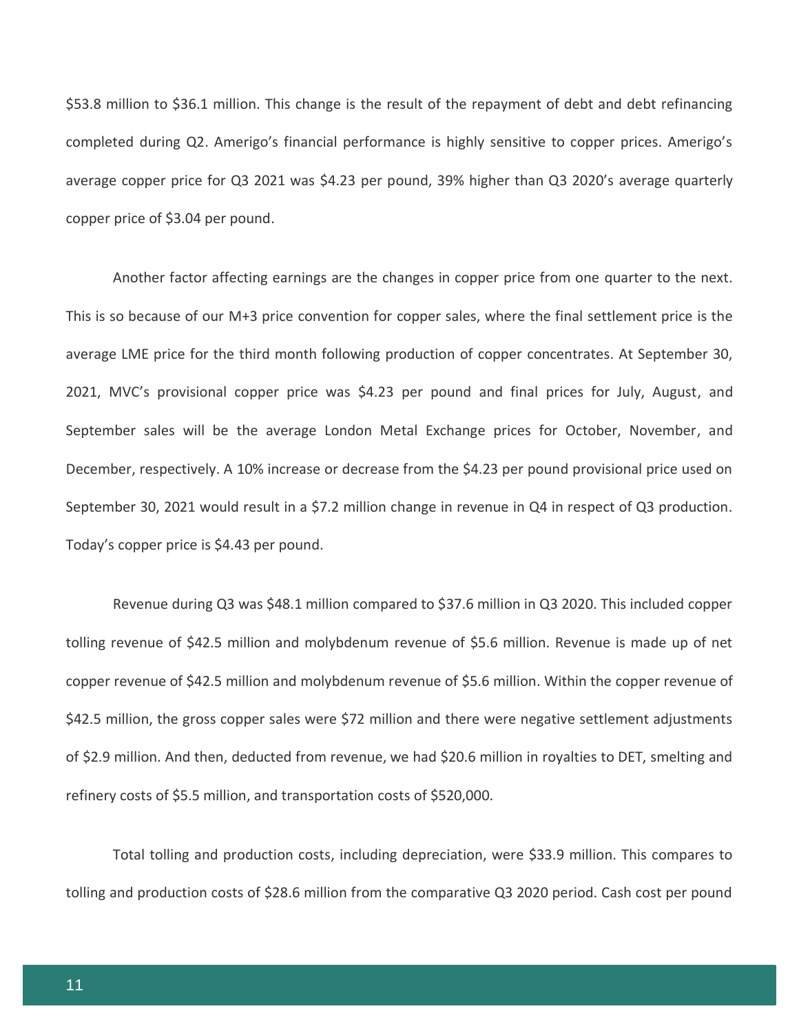\$53.8 million to \$36.1 million. This change is the result of the repayment of debt and debt refinancing completed during Q2. Amerigo's financial performance is highly sensitive to copper prices. Amerigo's average copper price for Q3 2021 was \$4.23 per pound, 39% higher than Q3 2020's average quarterly copper price of \$3.04 per pound.

Another factor affecting earnings are the changes in copper price from one quarter to the next. This is so because of our M+3 price convention for copper sales, where the final settlement price is the average LME price for the third month following production of copper concentrates. At September 30, 2021, MVC's provisional copper price was \$4.23 per pound and final prices for July, August, and September sales will be the average London Metal Exchange prices for October, November, and December, respectively. A 10% increase or decrease from the \$4.23 per pound provisional price used on September 30, 2021 would result in a \$7.2 million change in revenue in Q4 in respect of Q3 production. Today's copper price is \$4.43 per pound.

Revenue during Q3 was \$48.1 million compared to \$37.6 million in Q3 2020. This included copper tolling revenue of \$42.5 million and molybdenum revenue of \$5.6 million. Revenue is made up of net copper revenue of \$42.5 million and molybdenum revenue of \$5.6 million. Within the copper revenue of \$42.5 million, the gross copper sales were \$72 million and there were negative settlement adjustments of \$2.9 million. And then, deducted from revenue, we had \$20.6 million in royalties to DET, smelting and refinery costs of \$5.5 million, and transportation costs of \$520,000.

Total tolling and production costs, including depreciation, were \$33.9 million. This compares to tolling and production costs of \$28.6 million from the comparative Q3 2020 period. Cash cost per pound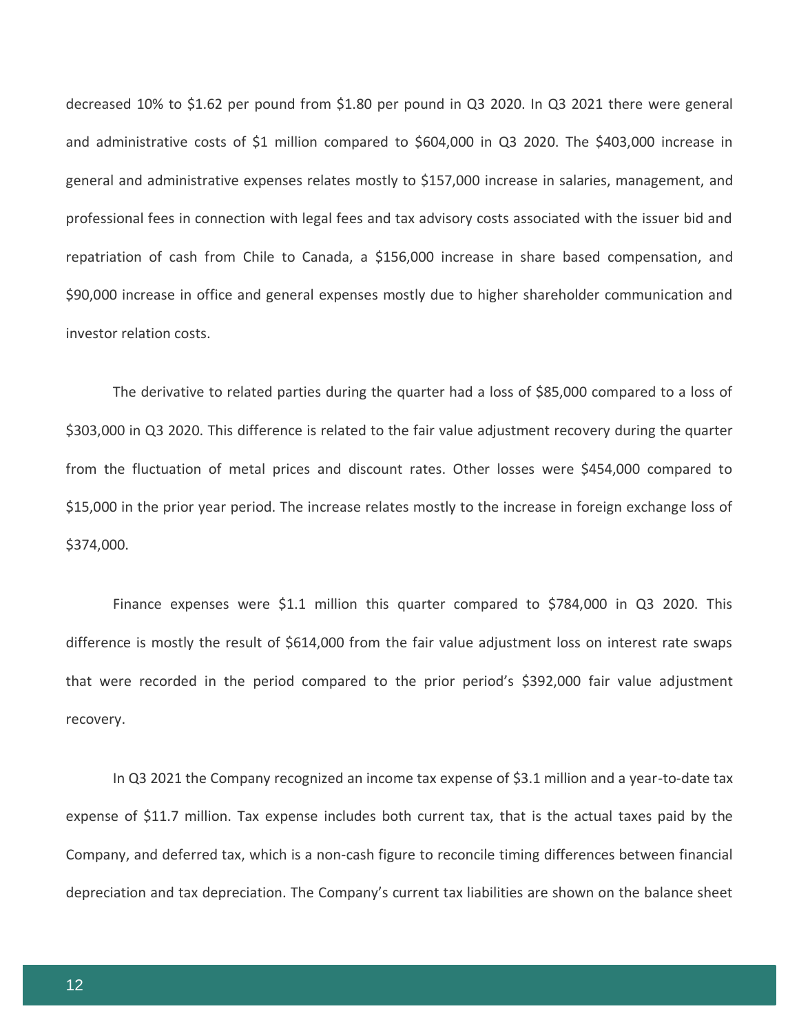decreased 10% to \$1.62 per pound from \$1.80 per pound in Q3 2020. In Q3 2021 there were general and administrative costs of \$1 million compared to \$604,000 in Q3 2020. The \$403,000 increase in general and administrative expenses relates mostly to \$157,000 increase in salaries, management, and professional fees in connection with legal fees and tax advisory costs associated with the issuer bid and repatriation of cash from Chile to Canada, a \$156,000 increase in share based compensation, and \$90,000 increase in office and general expenses mostly due to higher shareholder communication and investor relation costs.

The derivative to related parties during the quarter had a loss of \$85,000 compared to a loss of \$303,000 in Q3 2020. This difference is related to the fair value adjustment recovery during the quarter from the fluctuation of metal prices and discount rates. Other losses were \$454,000 compared to \$15,000 in the prior year period. The increase relates mostly to the increase in foreign exchange loss of \$374,000.

Finance expenses were \$1.1 million this quarter compared to \$784,000 in Q3 2020. This difference is mostly the result of \$614,000 from the fair value adjustment loss on interest rate swaps that were recorded in the period compared to the prior period's \$392,000 fair value adjustment recovery.

In Q3 2021 the Company recognized an income tax expense of \$3.1 million and a year-to-date tax expense of \$11.7 million. Tax expense includes both current tax, that is the actual taxes paid by the Company, and deferred tax, which is a non-cash figure to reconcile timing differences between financial depreciation and tax depreciation. The Company's current tax liabilities are shown on the balance sheet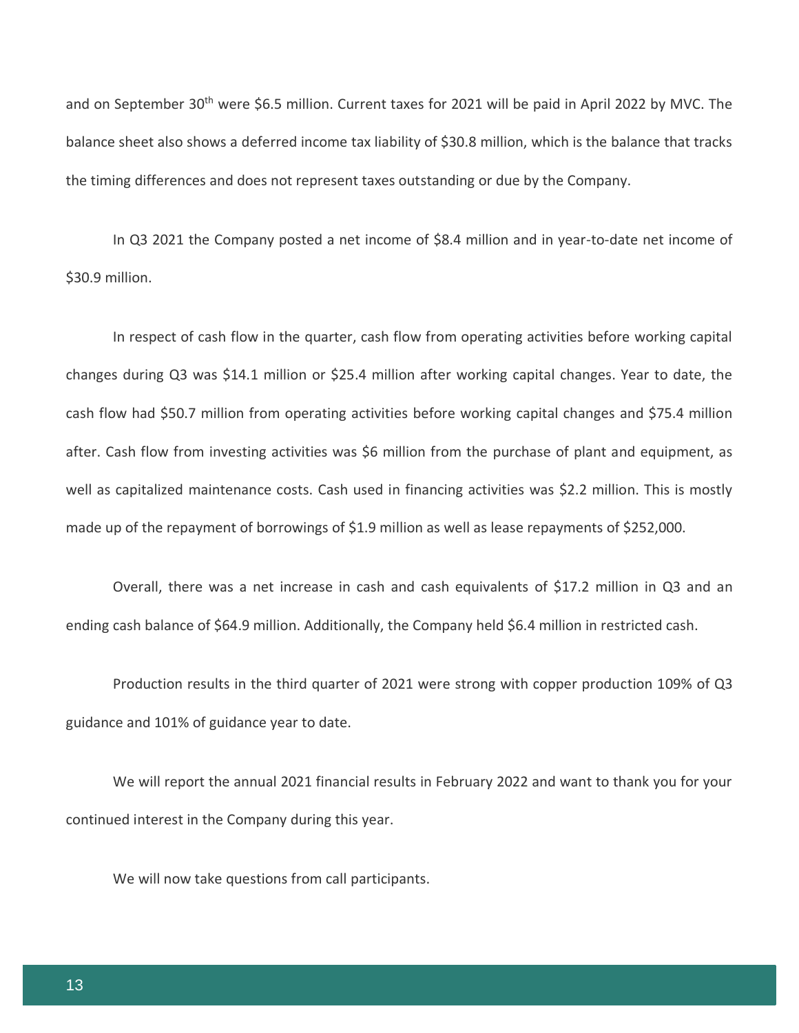and on September 30<sup>th</sup> were \$6.5 million. Current taxes for 2021 will be paid in April 2022 by MVC. The balance sheet also shows a deferred income tax liability of \$30.8 million, which is the balance that tracks the timing differences and does not represent taxes outstanding or due by the Company.

In Q3 2021 the Company posted a net income of \$8.4 million and in year-to-date net income of \$30.9 million.

In respect of cash flow in the quarter, cash flow from operating activities before working capital changes during Q3 was \$14.1 million or \$25.4 million after working capital changes. Year to date, the cash flow had \$50.7 million from operating activities before working capital changes and \$75.4 million after. Cash flow from investing activities was \$6 million from the purchase of plant and equipment, as well as capitalized maintenance costs. Cash used in financing activities was \$2.2 million. This is mostly made up of the repayment of borrowings of \$1.9 million as well as lease repayments of \$252,000.

Overall, there was a net increase in cash and cash equivalents of \$17.2 million in Q3 and an ending cash balance of \$64.9 million. Additionally, the Company held \$6.4 million in restricted cash.

Production results in the third quarter of 2021 were strong with copper production 109% of Q3 guidance and 101% of guidance year to date.

We will report the annual 2021 financial results in February 2022 and want to thank you for your continued interest in the Company during this year.

We will now take questions from call participants.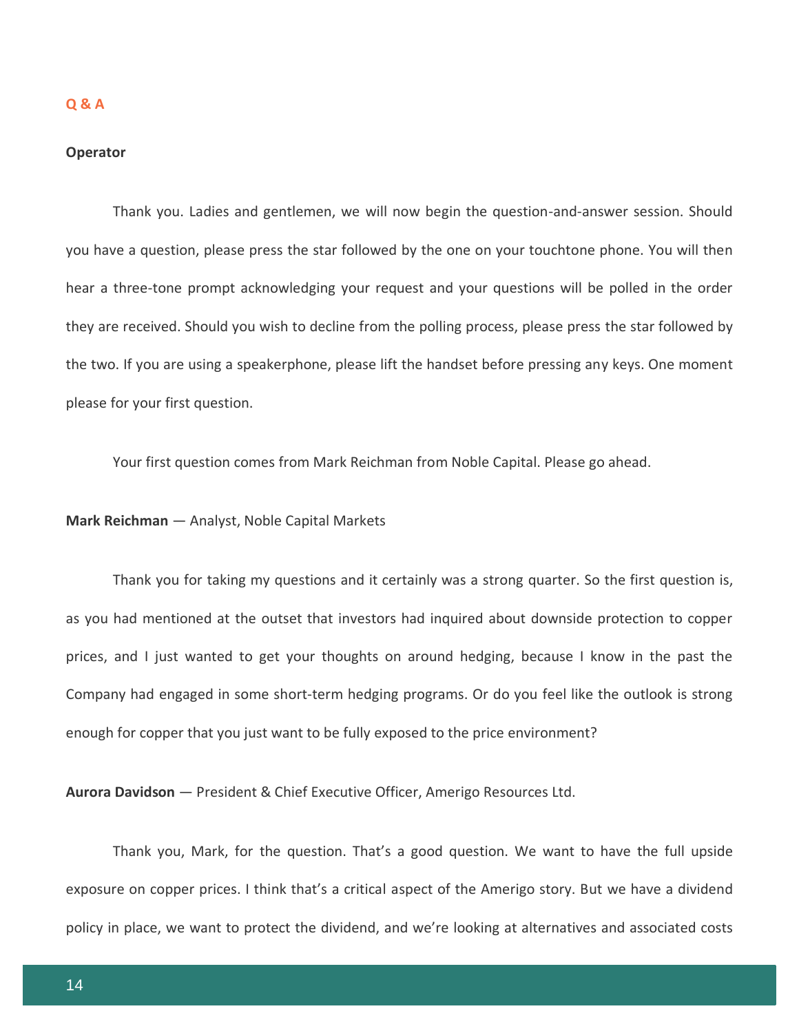#### **Q & A**

#### **Operator**

Thank you. Ladies and gentlemen, we will now begin the question-and-answer session. Should you have a question, please press the star followed by the one on your touchtone phone. You will then hear a three-tone prompt acknowledging your request and your questions will be polled in the order they are received. Should you wish to decline from the polling process, please press the star followed by the two. If you are using a speakerphone, please lift the handset before pressing any keys. One moment please for your first question.

Your first question comes from Mark Reichman from Noble Capital. Please go ahead.

#### **Mark Reichman** — Analyst, Noble Capital Markets

Thank you for taking my questions and it certainly was a strong quarter. So the first question is, as you had mentioned at the outset that investors had inquired about downside protection to copper prices, and I just wanted to get your thoughts on around hedging, because I know in the past the Company had engaged in some short-term hedging programs. Or do you feel like the outlook is strong enough for copper that you just want to be fully exposed to the price environment?

**Aurora Davidson** — President & Chief Executive Officer, Amerigo Resources Ltd.

Thank you, Mark, for the question. That's a good question. We want to have the full upside exposure on copper prices. I think that's a critical aspect of the Amerigo story. But we have a dividend policy in place, we want to protect the dividend, and we're looking at alternatives and associated costs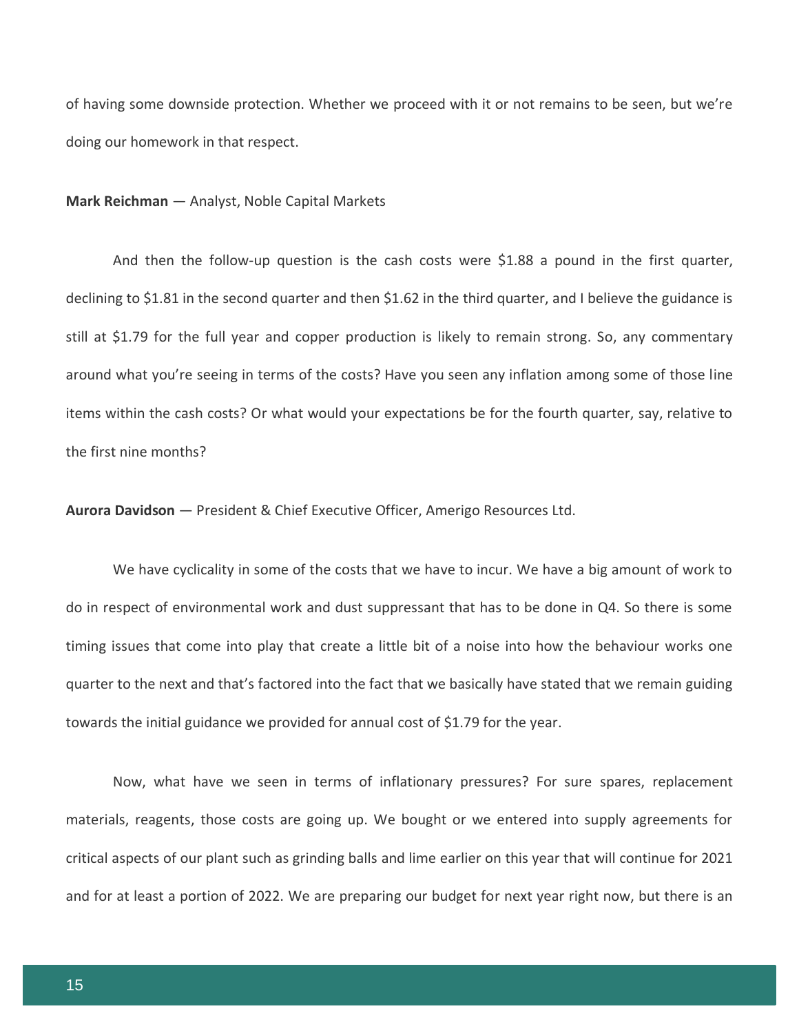of having some downside protection. Whether we proceed with it or not remains to be seen, but we're doing our homework in that respect.

#### **Mark Reichman** — Analyst, Noble Capital Markets

And then the follow-up question is the cash costs were \$1.88 a pound in the first quarter, declining to \$1.81 in the second quarter and then \$1.62 in the third quarter, and I believe the guidance is still at \$1.79 for the full year and copper production is likely to remain strong. So, any commentary around what you're seeing in terms of the costs? Have you seen any inflation among some of those line items within the cash costs? Or what would your expectations be for the fourth quarter, say, relative to the first nine months?

**Aurora Davidson** — President & Chief Executive Officer, Amerigo Resources Ltd.

We have cyclicality in some of the costs that we have to incur. We have a big amount of work to do in respect of environmental work and dust suppressant that has to be done in Q4. So there is some timing issues that come into play that create a little bit of a noise into how the behaviour works one quarter to the next and that's factored into the fact that we basically have stated that we remain guiding towards the initial guidance we provided for annual cost of \$1.79 for the year.

Now, what have we seen in terms of inflationary pressures? For sure spares, replacement materials, reagents, those costs are going up. We bought or we entered into supply agreements for critical aspects of our plant such as grinding balls and lime earlier on this year that will continue for 2021 and for at least a portion of 2022. We are preparing our budget for next year right now, but there is an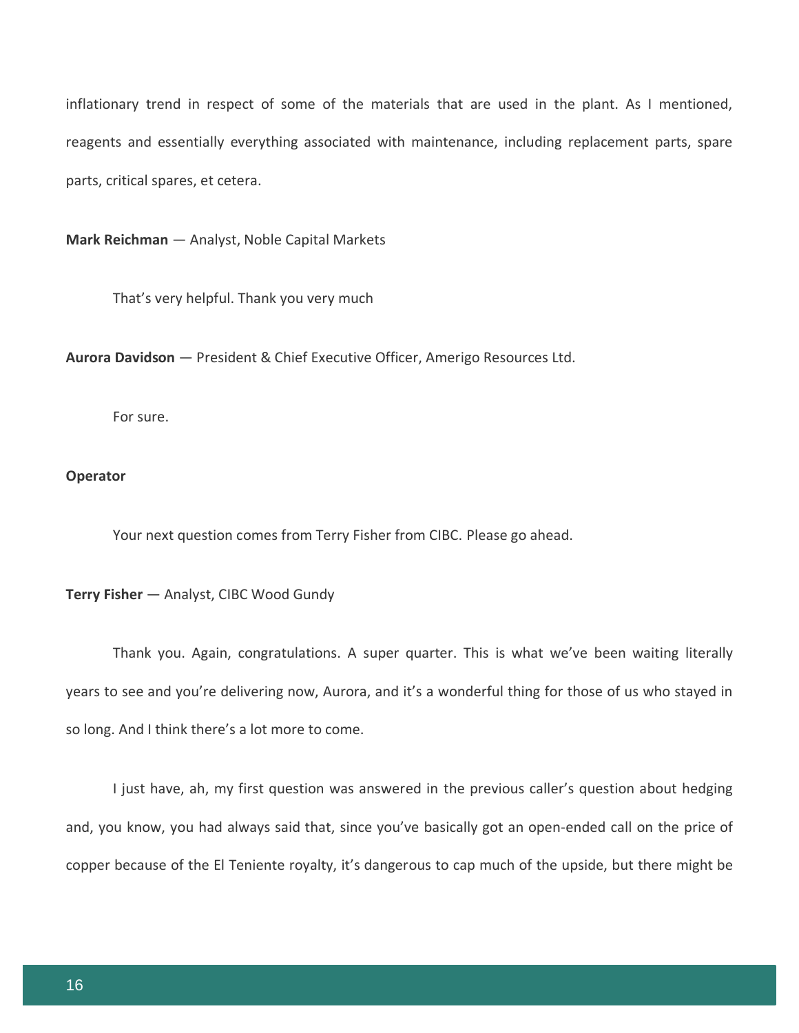inflationary trend in respect of some of the materials that are used in the plant. As I mentioned, reagents and essentially everything associated with maintenance, including replacement parts, spare parts, critical spares, et cetera.

**Mark Reichman** — Analyst, Noble Capital Markets

That's very helpful. Thank you very much

**Aurora Davidson** — President & Chief Executive Officer, Amerigo Resources Ltd.

For sure.

## **Operator**

Your next question comes from Terry Fisher from CIBC. Please go ahead.

**Terry Fisher** — Analyst, CIBC Wood Gundy

Thank you. Again, congratulations. A super quarter. This is what we've been waiting literally years to see and you're delivering now, Aurora, and it's a wonderful thing for those of us who stayed in so long. And I think there's a lot more to come.

I just have, ah, my first question was answered in the previous caller's question about hedging and, you know, you had always said that, since you've basically got an open-ended call on the price of copper because of the El Teniente royalty, it's dangerous to cap much of the upside, but there might be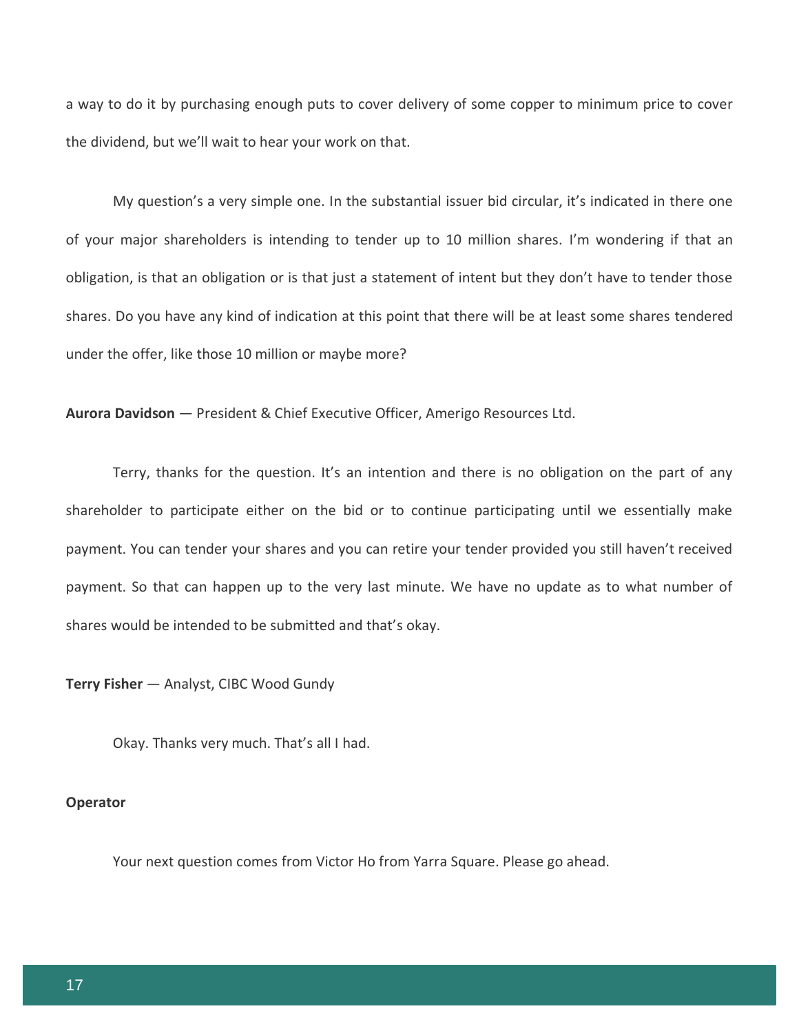a way to do it by purchasing enough puts to cover delivery of some copper to minimum price to cover the dividend, but we'll wait to hear your work on that.

My question's a very simple one. In the substantial issuer bid circular, it's indicated in there one of your major shareholders is intending to tender up to 10 million shares. I'm wondering if that an obligation, is that an obligation or is that just a statement of intent but they don't have to tender those shares. Do you have any kind of indication at this point that there will be at least some shares tendered under the offer, like those 10 million or maybe more?

**Aurora Davidson** — President & Chief Executive Officer, Amerigo Resources Ltd.

Terry, thanks for the question. It's an intention and there is no obligation on the part of any shareholder to participate either on the bid or to continue participating until we essentially make payment. You can tender your shares and you can retire your tender provided you still haven't received payment. So that can happen up to the very last minute. We have no update as to what number of shares would be intended to be submitted and that's okay.

**Terry Fisher** — Analyst, CIBC Wood Gundy

Okay. Thanks very much. That's all I had.

#### **Operator**

Your next question comes from Victor Ho from Yarra Square. Please go ahead.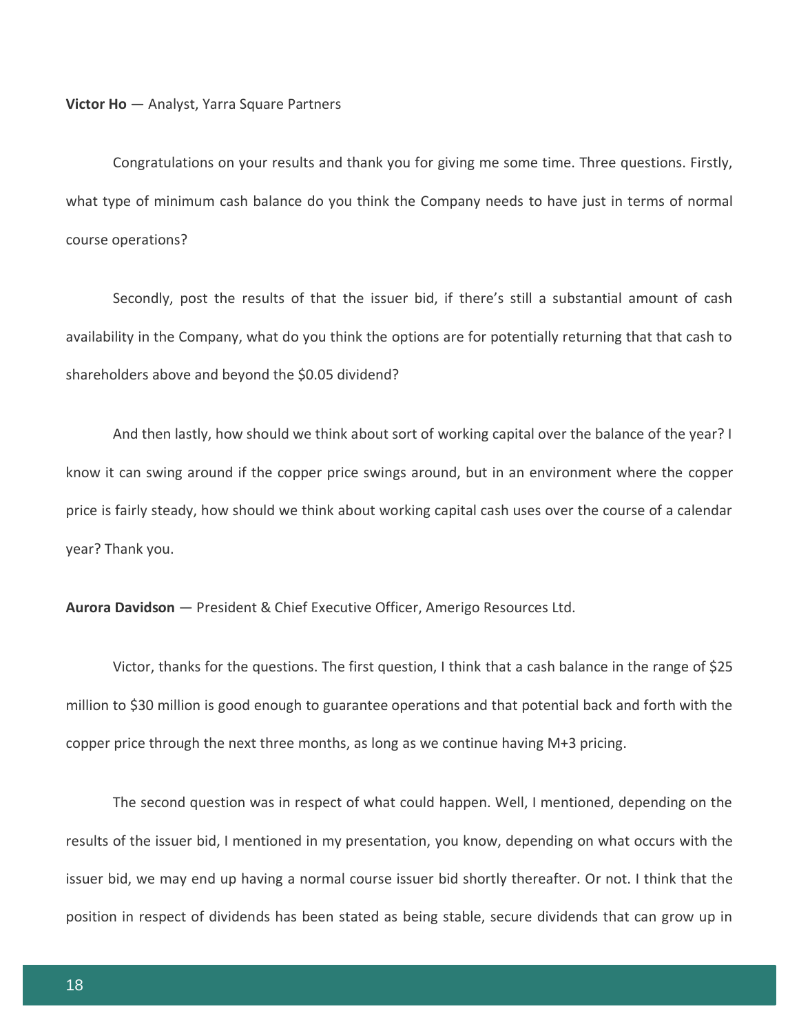Congratulations on your results and thank you for giving me some time. Three questions. Firstly, what type of minimum cash balance do you think the Company needs to have just in terms of normal course operations?

Secondly, post the results of that the issuer bid, if there's still a substantial amount of cash availability in the Company, what do you think the options are for potentially returning that that cash to shareholders above and beyond the \$0.05 dividend?

And then lastly, how should we think about sort of working capital over the balance of the year? I know it can swing around if the copper price swings around, but in an environment where the copper price is fairly steady, how should we think about working capital cash uses over the course of a calendar year? Thank you.

**Aurora Davidson** — President & Chief Executive Officer, Amerigo Resources Ltd.

Victor, thanks for the questions. The first question, I think that a cash balance in the range of \$25 million to \$30 million is good enough to guarantee operations and that potential back and forth with the copper price through the next three months, as long as we continue having M+3 pricing.

The second question was in respect of what could happen. Well, I mentioned, depending on the results of the issuer bid, I mentioned in my presentation, you know, depending on what occurs with the issuer bid, we may end up having a normal course issuer bid shortly thereafter. Or not. I think that the position in respect of dividends has been stated as being stable, secure dividends that can grow up in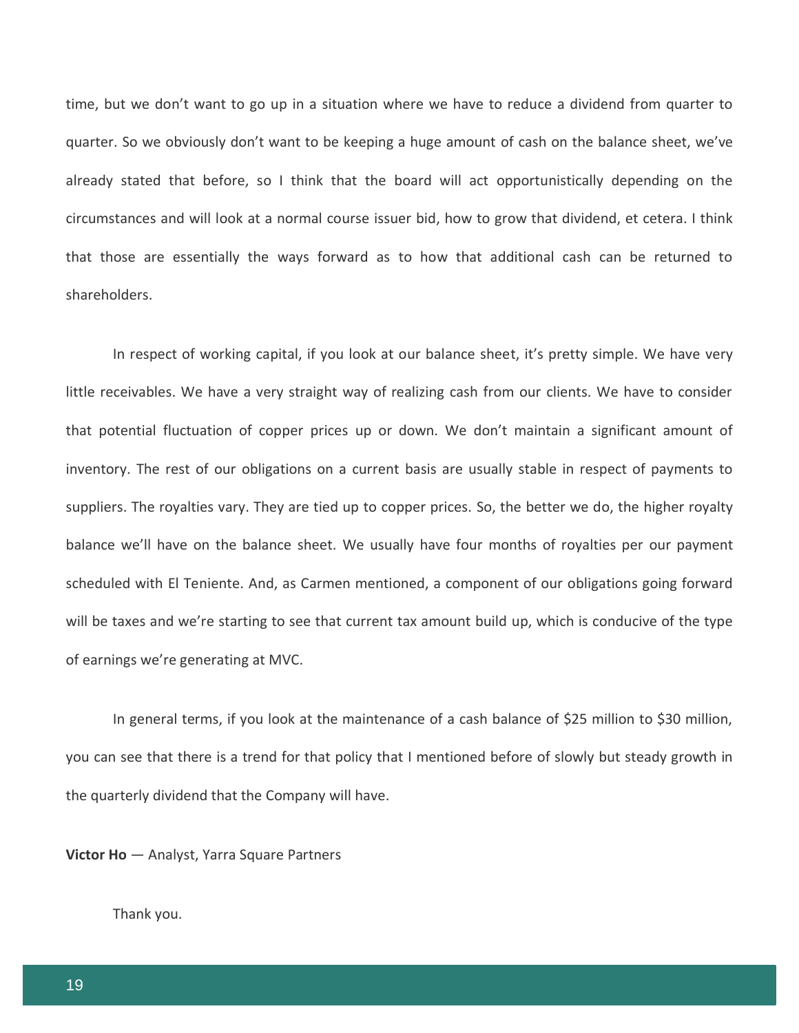time, but we don't want to go up in a situation where we have to reduce a dividend from quarter to quarter. So we obviously don't want to be keeping a huge amount of cash on the balance sheet, we've already stated that before, so I think that the board will act opportunistically depending on the circumstances and will look at a normal course issuer bid, how to grow that dividend, et cetera. I think that those are essentially the ways forward as to how that additional cash can be returned to shareholders.

In respect of working capital, if you look at our balance sheet, it's pretty simple. We have very little receivables. We have a very straight way of realizing cash from our clients. We have to consider that potential fluctuation of copper prices up or down. We don't maintain a significant amount of inventory. The rest of our obligations on a current basis are usually stable in respect of payments to suppliers. The royalties vary. They are tied up to copper prices. So, the better we do, the higher royalty balance we'll have on the balance sheet. We usually have four months of royalties per our payment scheduled with El Teniente. And, as Carmen mentioned, a component of our obligations going forward will be taxes and we're starting to see that current tax amount build up, which is conducive of the type of earnings we're generating at MVC.

In general terms, if you look at the maintenance of a cash balance of \$25 million to \$30 million, you can see that there is a trend for that policy that I mentioned before of slowly but steady growth in the quarterly dividend that the Company will have.

**Victor Ho** — Analyst, Yarra Square Partners

Thank you.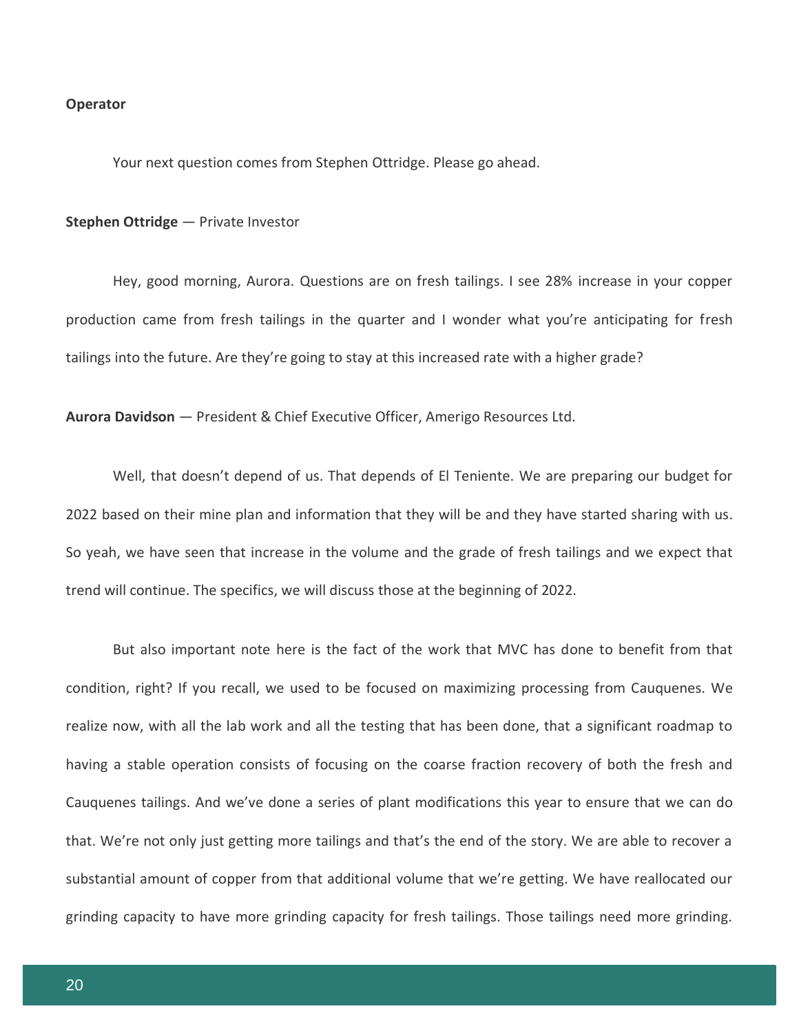#### **Operator**

Your next question comes from Stephen Ottridge. Please go ahead.

#### **Stephen Ottridge** — Private Investor

Hey, good morning, Aurora. Questions are on fresh tailings. I see 28% increase in your copper production came from fresh tailings in the quarter and I wonder what you're anticipating for fresh tailings into the future. Are they're going to stay at this increased rate with a higher grade?

**Aurora Davidson** — President & Chief Executive Officer, Amerigo Resources Ltd.

Well, that doesn't depend of us. That depends of El Teniente. We are preparing our budget for 2022 based on their mine plan and information that they will be and they have started sharing with us. So yeah, we have seen that increase in the volume and the grade of fresh tailings and we expect that trend will continue. The specifics, we will discuss those at the beginning of 2022.

But also important note here is the fact of the work that MVC has done to benefit from that condition, right? If you recall, we used to be focused on maximizing processing from Cauquenes. We realize now, with all the lab work and all the testing that has been done, that a significant roadmap to having a stable operation consists of focusing on the coarse fraction recovery of both the fresh and Cauquenes tailings. And we've done a series of plant modifications this year to ensure that we can do that. We're not only just getting more tailings and that's the end of the story. We are able to recover a substantial amount of copper from that additional volume that we're getting. We have reallocated our grinding capacity to have more grinding capacity for fresh tailings. Those tailings need more grinding.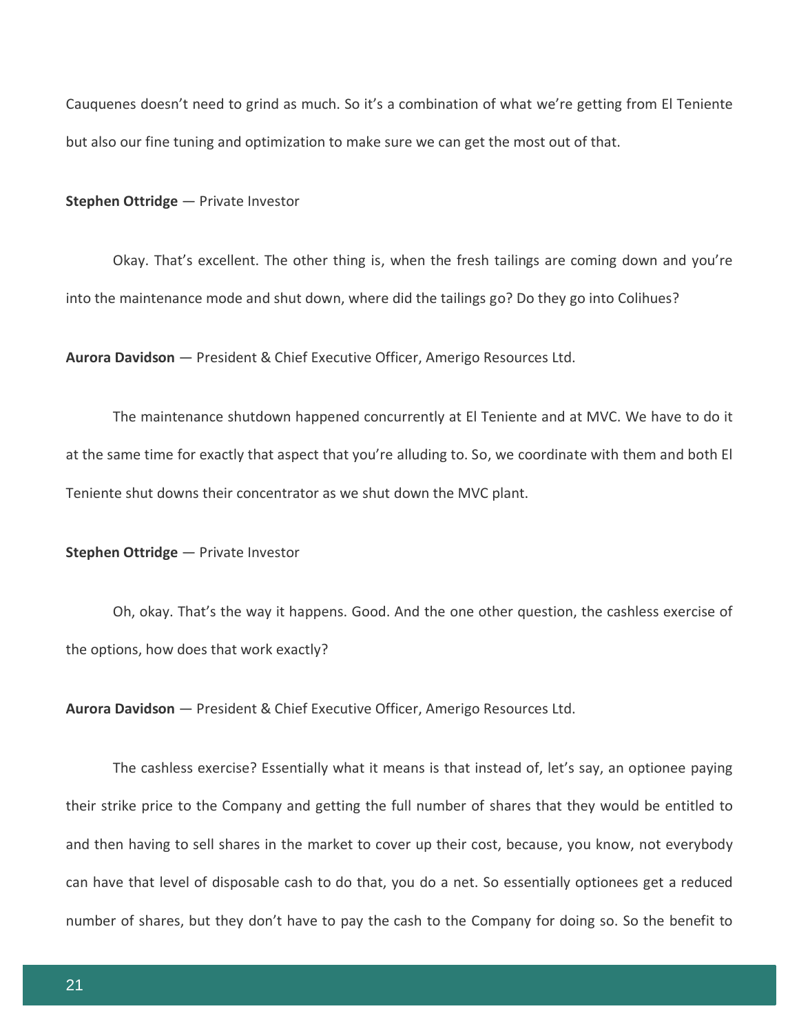Cauquenes doesn't need to grind as much. So it's a combination of what we're getting from El Teniente but also our fine tuning and optimization to make sure we can get the most out of that.

**Stephen Ottridge** — Private Investor

Okay. That's excellent. The other thing is, when the fresh tailings are coming down and you're into the maintenance mode and shut down, where did the tailings go? Do they go into Colihues?

**Aurora Davidson** — President & Chief Executive Officer, Amerigo Resources Ltd.

The maintenance shutdown happened concurrently at El Teniente and at MVC. We have to do it at the same time for exactly that aspect that you're alluding to. So, we coordinate with them and both El Teniente shut downs their concentrator as we shut down the MVC plant.

**Stephen Ottridge** — Private Investor

Oh, okay. That's the way it happens. Good. And the one other question, the cashless exercise of the options, how does that work exactly?

**Aurora Davidson** — President & Chief Executive Officer, Amerigo Resources Ltd.

The cashless exercise? Essentially what it means is that instead of, let's say, an optionee paying their strike price to the Company and getting the full number of shares that they would be entitled to and then having to sell shares in the market to cover up their cost, because, you know, not everybody can have that level of disposable cash to do that, you do a net. So essentially optionees get a reduced number of shares, but they don't have to pay the cash to the Company for doing so. So the benefit to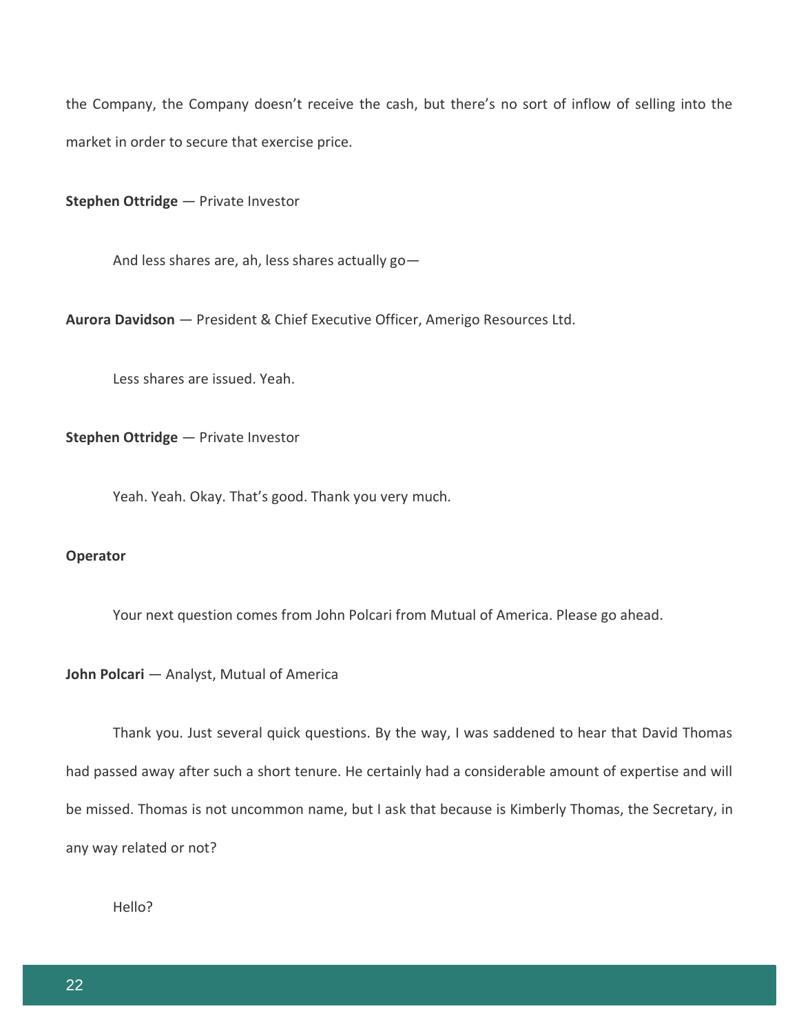the Company, the Company doesn't receive the cash, but there's no sort of inflow of selling into the market in order to secure that exercise price.

**Stephen Ottridge** — Private Investor

And less shares are, ah, less shares actually go—

**Aurora Davidson** — President & Chief Executive Officer, Amerigo Resources Ltd.

Less shares are issued. Yeah.

**Stephen Ottridge** — Private Investor

Yeah. Yeah. Okay. That's good. Thank you very much.

### **Operator**

Your next question comes from John Polcari from Mutual of America. Please go ahead.

**John Polcari** — Analyst, Mutual of America

Thank you. Just several quick questions. By the way, I was saddened to hear that David Thomas had passed away after such a short tenure. He certainly had a considerable amount of expertise and will be missed. Thomas is not uncommon name, but I ask that because is Kimberly Thomas, the Secretary, in any way related or not?

Hello?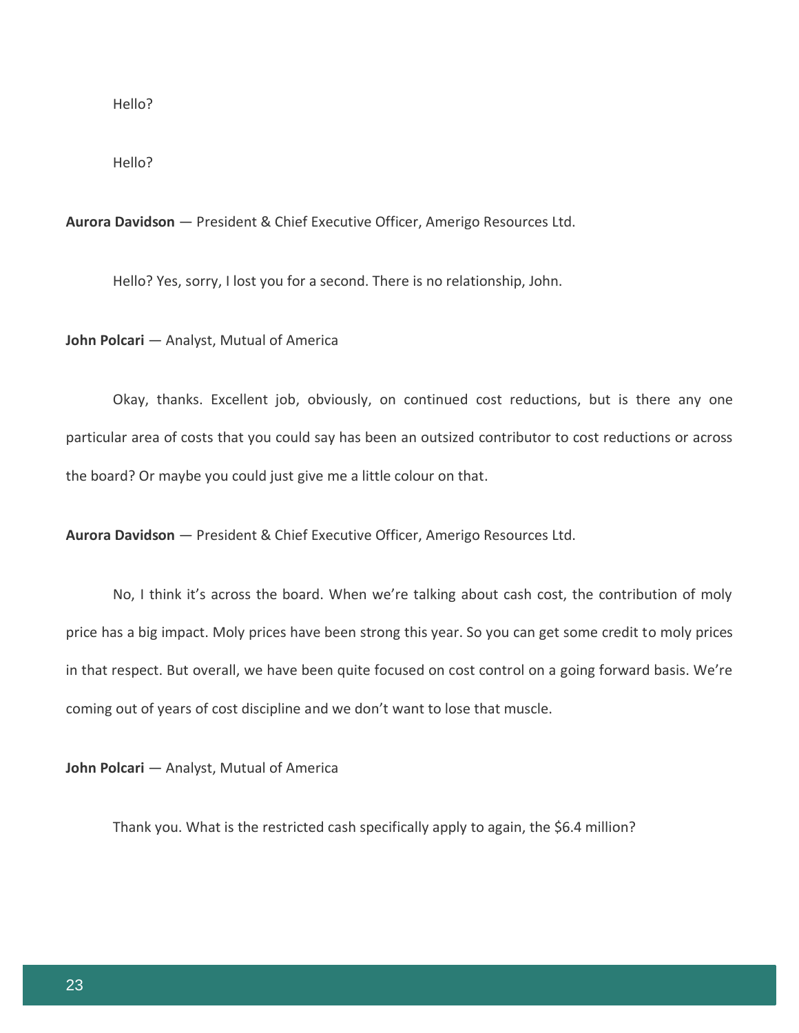Hello?

Hello?

**Aurora Davidson** — President & Chief Executive Officer, Amerigo Resources Ltd.

Hello? Yes, sorry, I lost you for a second. There is no relationship, John.

**John Polcari** — Analyst, Mutual of America

Okay, thanks. Excellent job, obviously, on continued cost reductions, but is there any one particular area of costs that you could say has been an outsized contributor to cost reductions or across the board? Or maybe you could just give me a little colour on that.

**Aurora Davidson** — President & Chief Executive Officer, Amerigo Resources Ltd.

No, I think it's across the board. When we're talking about cash cost, the contribution of moly price has a big impact. Moly prices have been strong this year. So you can get some credit to moly prices in that respect. But overall, we have been quite focused on cost control on a going forward basis. We're coming out of years of cost discipline and we don't want to lose that muscle.

**John Polcari** — Analyst, Mutual of America

Thank you. What is the restricted cash specifically apply to again, the \$6.4 million?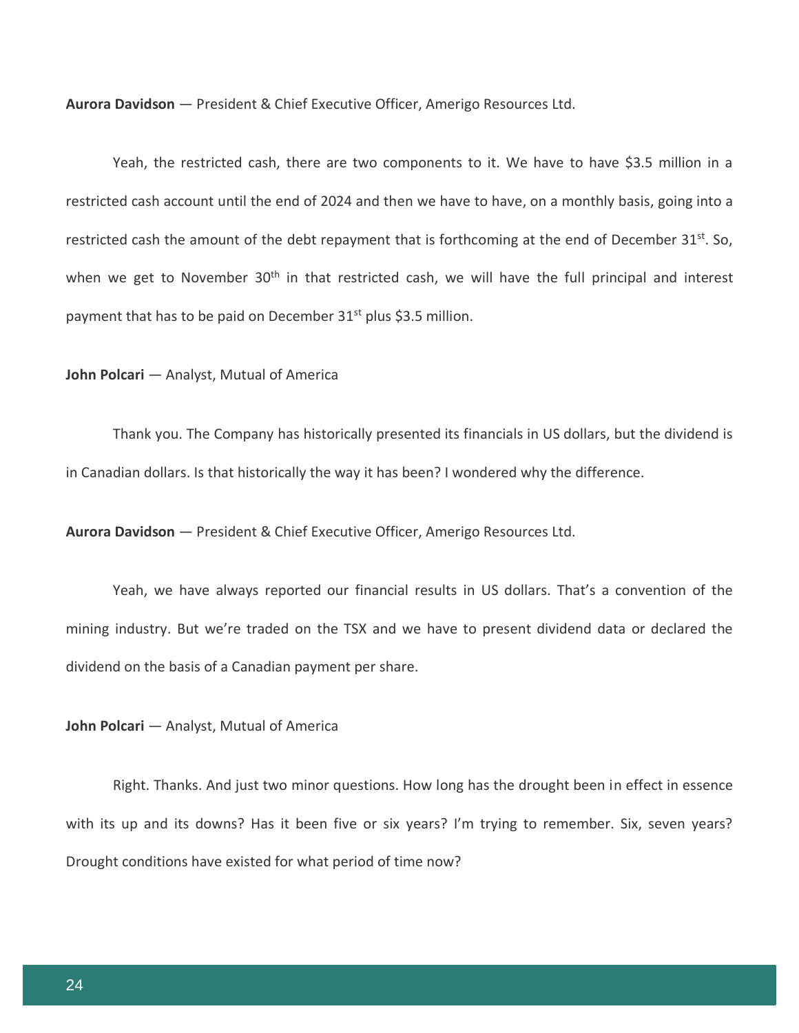**Aurora Davidson** — President & Chief Executive Officer, Amerigo Resources Ltd.

Yeah, the restricted cash, there are two components to it. We have to have \$3.5 million in a restricted cash account until the end of 2024 and then we have to have, on a monthly basis, going into a restricted cash the amount of the debt repayment that is forthcoming at the end of December 31<sup>st</sup>. So, when we get to November  $30<sup>th</sup>$  in that restricted cash, we will have the full principal and interest payment that has to be paid on December 31<sup>st</sup> plus \$3.5 million.

#### **John Polcari** — Analyst, Mutual of America

Thank you. The Company has historically presented its financials in US dollars, but the dividend is in Canadian dollars. Is that historically the way it has been? I wondered why the difference.

**Aurora Davidson** — President & Chief Executive Officer, Amerigo Resources Ltd.

Yeah, we have always reported our financial results in US dollars. That's a convention of the mining industry. But we're traded on the TSX and we have to present dividend data or declared the dividend on the basis of a Canadian payment per share.

#### **John Polcari** — Analyst, Mutual of America

Right. Thanks. And just two minor questions. How long has the drought been in effect in essence with its up and its downs? Has it been five or six years? I'm trying to remember. Six, seven years? Drought conditions have existed for what period of time now?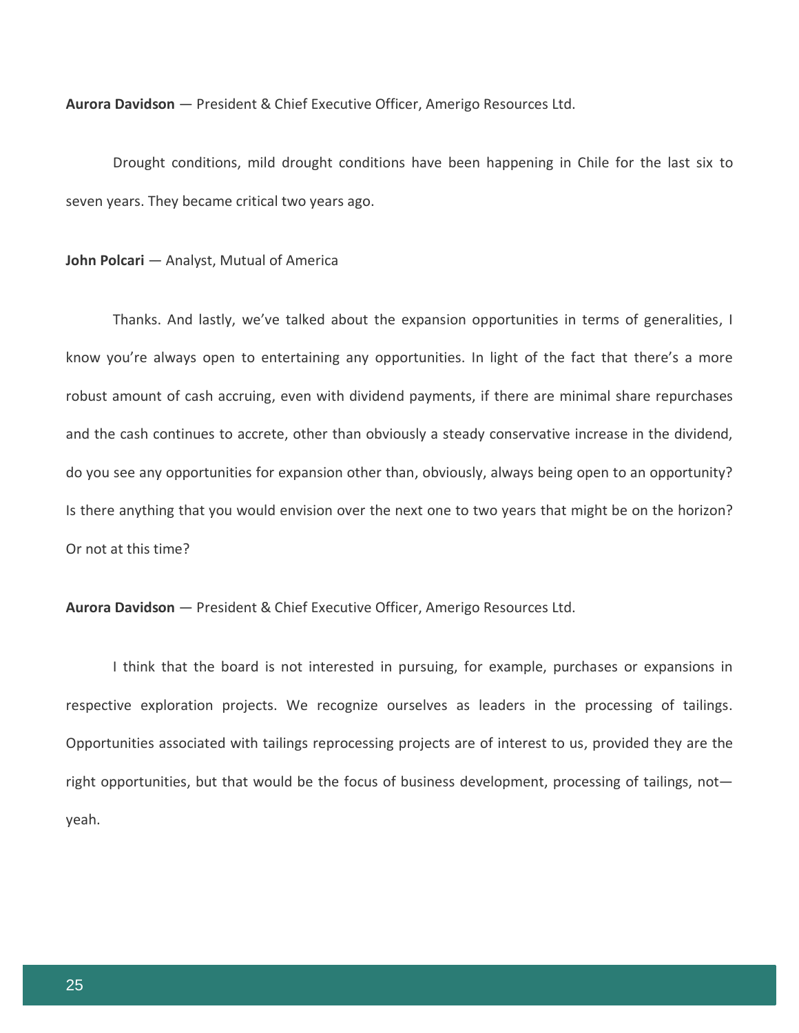**Aurora Davidson** — President & Chief Executive Officer, Amerigo Resources Ltd.

Drought conditions, mild drought conditions have been happening in Chile for the last six to seven years. They became critical two years ago.

#### **John Polcari** — Analyst, Mutual of America

Thanks. And lastly, we've talked about the expansion opportunities in terms of generalities, I know you're always open to entertaining any opportunities. In light of the fact that there's a more robust amount of cash accruing, even with dividend payments, if there are minimal share repurchases and the cash continues to accrete, other than obviously a steady conservative increase in the dividend, do you see any opportunities for expansion other than, obviously, always being open to an opportunity? Is there anything that you would envision over the next one to two years that might be on the horizon? Or not at this time?

**Aurora Davidson** — President & Chief Executive Officer, Amerigo Resources Ltd.

I think that the board is not interested in pursuing, for example, purchases or expansions in respective exploration projects. We recognize ourselves as leaders in the processing of tailings. Opportunities associated with tailings reprocessing projects are of interest to us, provided they are the right opportunities, but that would be the focus of business development, processing of tailings, not yeah.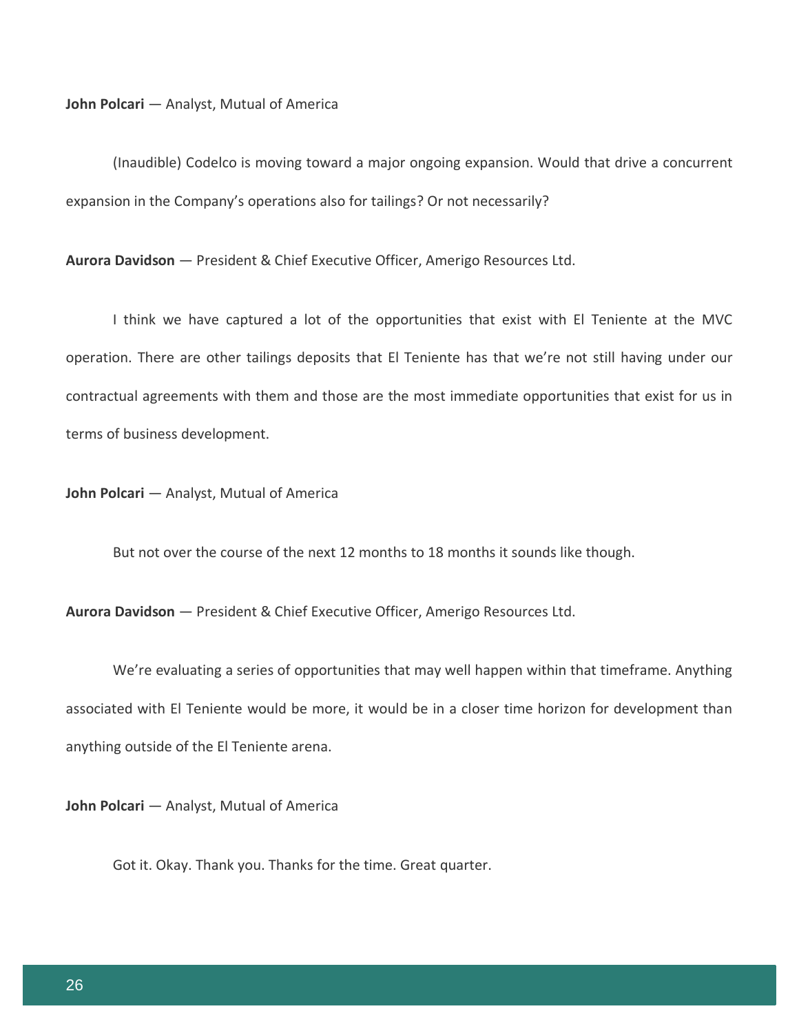**John Polcari** — Analyst, Mutual of America

(Inaudible) Codelco is moving toward a major ongoing expansion. Would that drive a concurrent expansion in the Company's operations also for tailings? Or not necessarily?

**Aurora Davidson** — President & Chief Executive Officer, Amerigo Resources Ltd.

I think we have captured a lot of the opportunities that exist with El Teniente at the MVC operation. There are other tailings deposits that El Teniente has that we're not still having under our contractual agreements with them and those are the most immediate opportunities that exist for us in terms of business development.

**John Polcari** — Analyst, Mutual of America

But not over the course of the next 12 months to 18 months it sounds like though.

**Aurora Davidson** — President & Chief Executive Officer, Amerigo Resources Ltd.

We're evaluating a series of opportunities that may well happen within that timeframe. Anything associated with El Teniente would be more, it would be in a closer time horizon for development than anything outside of the El Teniente arena.

**John Polcari** — Analyst, Mutual of America

Got it. Okay. Thank you. Thanks for the time. Great quarter.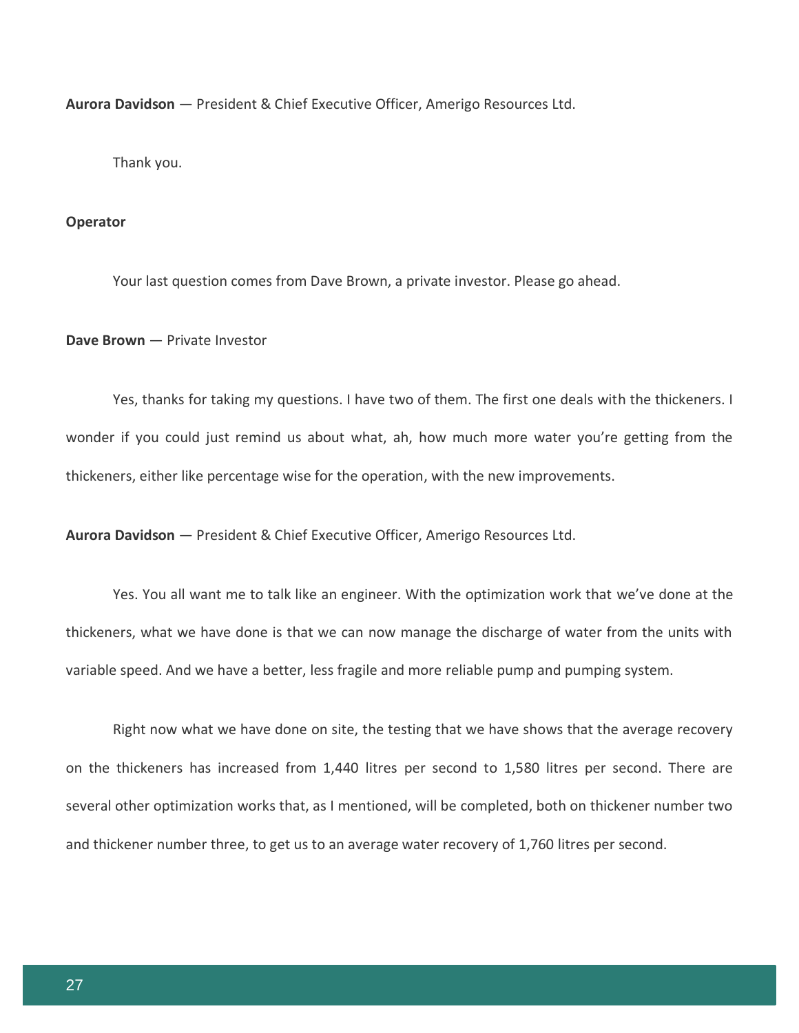**Aurora Davidson** — President & Chief Executive Officer, Amerigo Resources Ltd.

Thank you.

#### **Operator**

Your last question comes from Dave Brown, a private investor. Please go ahead.

**Dave Brown** — Private Investor

Yes, thanks for taking my questions. I have two of them. The first one deals with the thickeners. I wonder if you could just remind us about what, ah, how much more water you're getting from the thickeners, either like percentage wise for the operation, with the new improvements.

**Aurora Davidson** — President & Chief Executive Officer, Amerigo Resources Ltd.

Yes. You all want me to talk like an engineer. With the optimization work that we've done at the thickeners, what we have done is that we can now manage the discharge of water from the units with variable speed. And we have a better, less fragile and more reliable pump and pumping system.

Right now what we have done on site, the testing that we have shows that the average recovery on the thickeners has increased from 1,440 litres per second to 1,580 litres per second. There are several other optimization works that, as I mentioned, will be completed, both on thickener number two and thickener number three, to get us to an average water recovery of 1,760 litres per second.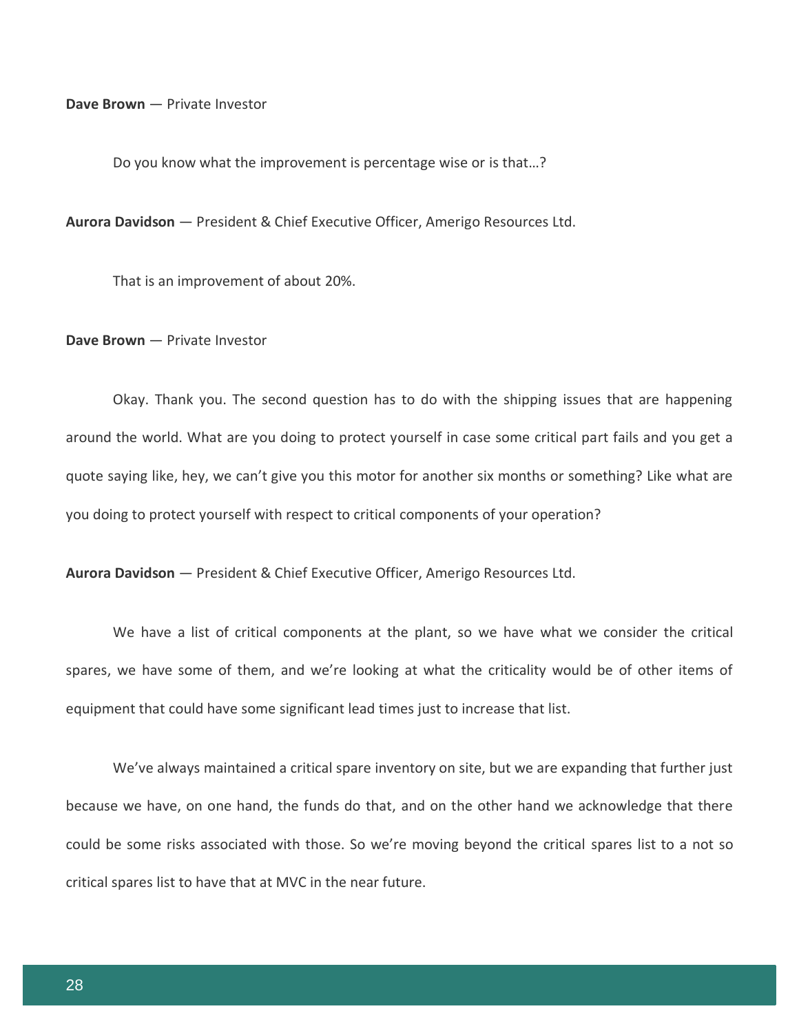**Dave Brown** — Private Investor

Do you know what the improvement is percentage wise or is that…?

**Aurora Davidson** — President & Chief Executive Officer, Amerigo Resources Ltd.

That is an improvement of about 20%.

**Dave Brown** — Private Investor

Okay. Thank you. The second question has to do with the shipping issues that are happening around the world. What are you doing to protect yourself in case some critical part fails and you get a quote saying like, hey, we can't give you this motor for another six months or something? Like what are you doing to protect yourself with respect to critical components of your operation?

**Aurora Davidson** — President & Chief Executive Officer, Amerigo Resources Ltd.

We have a list of critical components at the plant, so we have what we consider the critical spares, we have some of them, and we're looking at what the criticality would be of other items of equipment that could have some significant lead times just to increase that list.

We've always maintained a critical spare inventory on site, but we are expanding that further just because we have, on one hand, the funds do that, and on the other hand we acknowledge that there could be some risks associated with those. So we're moving beyond the critical spares list to a not so critical spares list to have that at MVC in the near future.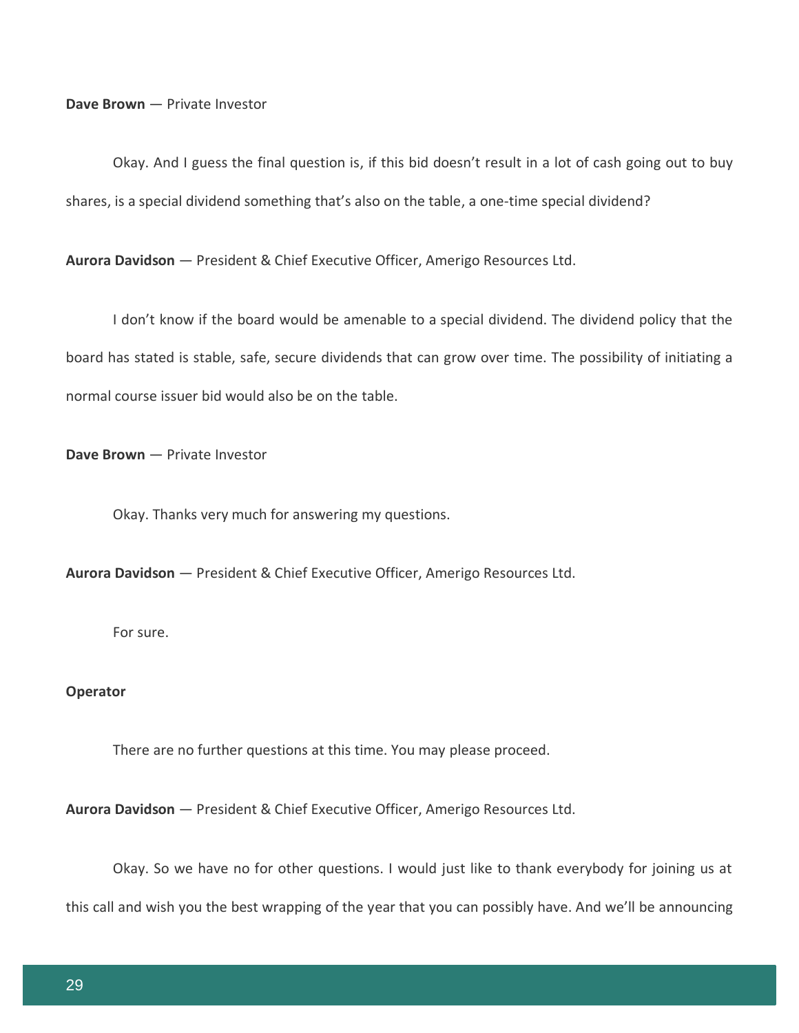**Dave Brown** — Private Investor

Okay. And I guess the final question is, if this bid doesn't result in a lot of cash going out to buy shares, is a special dividend something that's also on the table, a one-time special dividend?

**Aurora Davidson** — President & Chief Executive Officer, Amerigo Resources Ltd.

I don't know if the board would be amenable to a special dividend. The dividend policy that the board has stated is stable, safe, secure dividends that can grow over time. The possibility of initiating a normal course issuer bid would also be on the table.

**Dave Brown** — Private Investor

Okay. Thanks very much for answering my questions.

**Aurora Davidson** — President & Chief Executive Officer, Amerigo Resources Ltd.

For sure.

#### **Operator**

There are no further questions at this time. You may please proceed.

**Aurora Davidson** — President & Chief Executive Officer, Amerigo Resources Ltd.

Okay. So we have no for other questions. I would just like to thank everybody for joining us at

this call and wish you the best wrapping of the year that you can possibly have. And we'll be announcing